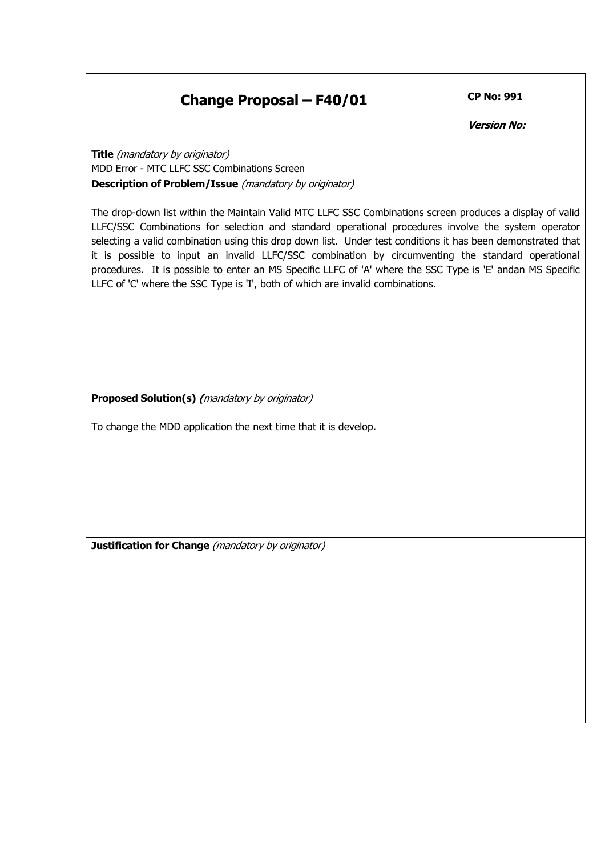## **Change Proposal – F40/01 CP No: 991**

**Version No:** 

**Title** (mandatory by originator) MDD Error - MTC LLFC SSC Combinations Screen

**Description of Problem/Issue** (mandatory by originator)

The drop-down list within the Maintain Valid MTC LLFC SSC Combinations screen produces a display of valid LLFC/SSC Combinations for selection and standard operational procedures involve the system operator selecting a valid combination using this drop down list. Under test conditions it has been demonstrated that it is possible to input an invalid LLFC/SSC combination by circumventing the standard operational procedures. It is possible to enter an MS Specific LLFC of 'A' where the SSC Type is 'E' andan MS Specific LLFC of 'C' where the SSC Type is 'I', both of which are invalid combinations.

**Proposed Solution(s) (**mandatory by originator)

To change the MDD application the next time that it is develop.

**Justification for Change** (mandatory by originator)